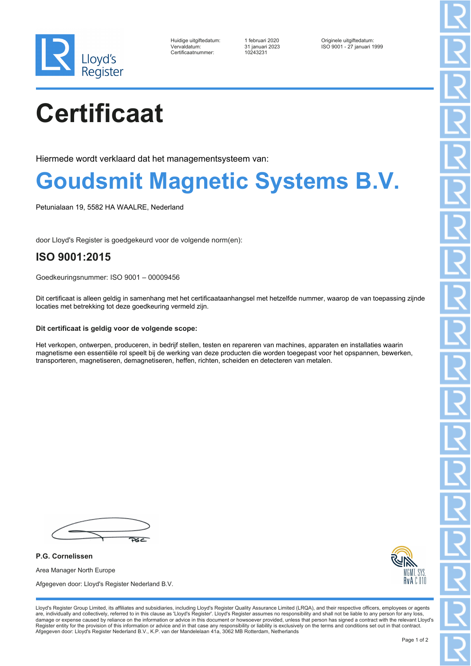

| Huidige uitgiftedatum: |  |
|------------------------|--|
| Vervaldatum:           |  |
| Certificaatnummer:     |  |

Certificaatnummer: 10243231

Huidige uitgiftedatum: 1 februari 2020 Originele uitgiftedatum: Vervaldatum: 31 januari 2023 ISO 9001 - 27 januari 1999

# **Certificaat**

Hiermede wordt verklaard dat het managementsysteem van:

### **Goudsmit Magnetic Systems B.V.**

Petunialaan 19, 5582 HA WAALRE, Nederland

door Lloyd's Register is goedgekeurd voor de volgende norm(en):

### **ISO 9001:2015**

Goedkeuringsnummer: ISO 9001 – 00009456

Dit certificaat is alleen geldig in samenhang met het certificaataanhangsel met hetzelfde nummer, waarop de van toepassing zijnde locaties met betrekking tot deze goedkeuring vermeld zijn.

#### **Dit certificaat is geldig voor de volgende scope:**

Het verkopen, ontwerpen, produceren, in bedrijf stellen, testen en repareren van machines, apparaten en installaties waarin magnetisme een essentiële rol speelt bij de werking van deze producten die worden toegepast voor het opspannen, bewerken, transporteren, magnetiseren, demagnetiseren, heffen, richten, scheiden en detecteren van metalen.

 $26c$ 

**P.G. Cornelissen** Area Manager North Europe Afgegeven door: Lloyd's Register Nederland B.V.



Lloyd's Register Group Limited, its affiliates and subsidiaries, including Lloyd's Register Quality Assurance Limited (LRQA), and their respective officers, employees or agents are, individually and collectively, referred to in this clause as 'Lloyd's Register'. Lloyd's Register assumes no responsibility and shall not be liable to any person for any loss,<br>damage or expense caused by reliance on t Register entity for the provision of this information or advice and in that case any responsibility or liability is exclusively on the terms and conditions set out in that contract. Afgegeven door: Lloyd's Register Nederland B.V., K.P. van der Mandelelaan 41a, 3062 MB Rotterdam, Netherlands